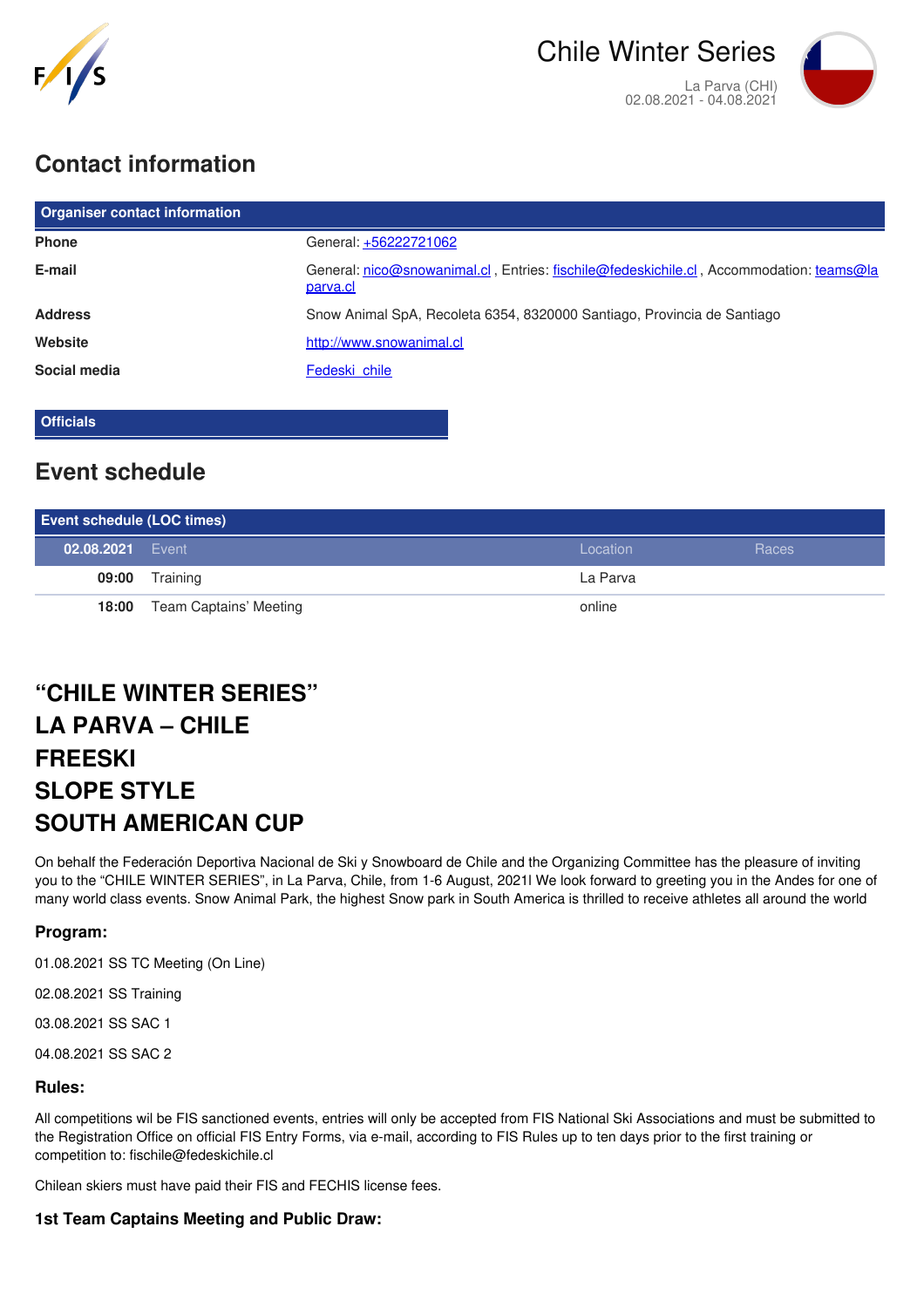

# **Contact information**

| <b>Organiser contact information</b> |                                                                                                     |
|--------------------------------------|-----------------------------------------------------------------------------------------------------|
| <b>Phone</b>                         | General: +56222721062                                                                               |
| E-mail                               | General: nico@snowanimal.cl, Entries: fischile@fedeskichile.cl, Accommodation: teams@la<br>parva.cl |
| <b>Address</b>                       | Snow Animal SpA, Recoleta 6354, 8320000 Santiago, Provincia de Santiago                             |
| Website                              | http://www.snowanimal.cl                                                                            |
| Social media                         | Fedeski chile                                                                                       |

**Officials**

# **Event schedule**

| <b>Event schedule (LOC times)</b> |                        |          |       |  |
|-----------------------------------|------------------------|----------|-------|--|
| 02.08.2021 Event                  |                        | Location | Races |  |
| 09:00                             | Training               | La Parva |       |  |
| 18:00                             | Team Captains' Meeting | online   |       |  |

# **"CHILE WINTER SERIES" LA PARVA – CHILE FREESKI SLOPE STYLE SOUTH AMERICAN CUP**

On behalf the Federación Deportiva Nacional de Ski y Snowboard de Chile and the Organizing Committee has the pleasure of inviting you to the "CHILE WINTER SERIES", in La Parva, Chile, from 1-6 August, 2021l We look forward to greeting you in the Andes for one of many world class events. Snow Animal Park, the highest Snow park in South America is thrilled to receive athletes all around the world

# **Program:**

01.08.2021 SS TC Meeting (On Line)

02.08.2021 SS Training

03.08.2021 SS SAC 1

04.08.2021 SS SAC 2

# **Rules:**

All competitions wil be FIS sanctioned events, entries will only be accepted from FIS National Ski Associations and must be submitted to the Registration Office on official FIS Entry Forms, via e-mail, according to FIS Rules up to ten days prior to the first training or competition to: fischile@fedeskichile.cl

Chilean skiers must have paid their FIS and FECHIS license fees.

# **1st Team Captains Meeting and Public Draw:**